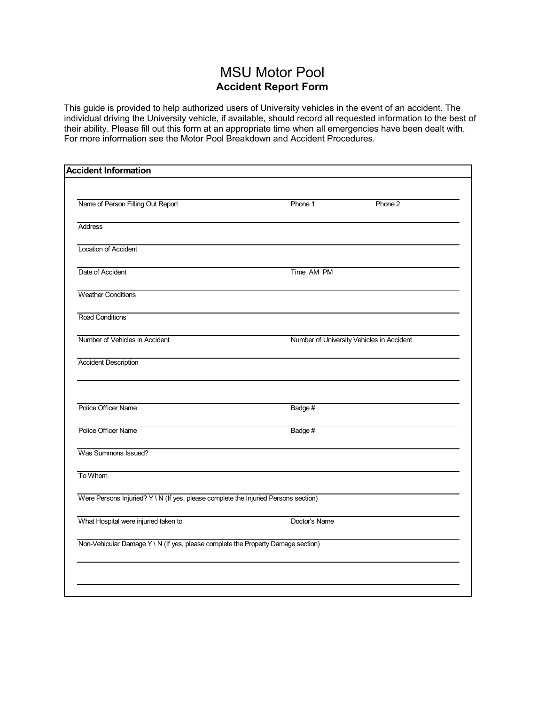## MSU Motor Pool **Accident Report Form**

This guide is provided to help authorized users of University vehicles in the event of an accident. The individual driving the University vehicle, if available, should record all requested information to the best of their ability. Please fill out this form at an appropriate time when all emergencies have been dealt with. For more information see the Motor Pool Breakdown and Accident Procedures.

| Phone 1                                                                             | Phone 2                                   |
|-------------------------------------------------------------------------------------|-------------------------------------------|
|                                                                                     |                                           |
|                                                                                     |                                           |
| Time AM PM                                                                          |                                           |
|                                                                                     |                                           |
|                                                                                     |                                           |
|                                                                                     | Number of University Vehicles in Accident |
|                                                                                     |                                           |
|                                                                                     |                                           |
| Badge#                                                                              |                                           |
| Badge#                                                                              |                                           |
|                                                                                     |                                           |
|                                                                                     |                                           |
| Were Persons Injuried? Y \ N (If yes, please complete the Injuried Persons section) |                                           |
| Doctor's Name                                                                       |                                           |
| Non-Vehicular Damage Y \ N (If yes, please complete the Property Damage section)    |                                           |
|                                                                                     |                                           |
|                                                                                     |                                           |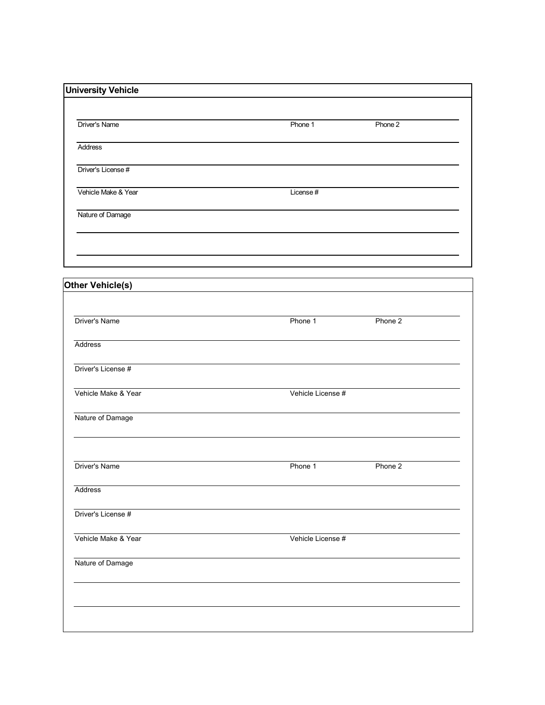|           | Phone 2 |
|-----------|---------|
|           |         |
|           |         |
| License # |         |
|           |         |
|           |         |
|           |         |

| Driver's Name       | Phone 1           | Phone 2 |  |
|---------------------|-------------------|---------|--|
|                     |                   |         |  |
| Address             |                   |         |  |
| Driver's License #  |                   |         |  |
| Vehicle Make & Year | Vehicle License # |         |  |
| Nature of Damage    |                   |         |  |
| Driver's Name       | Phone 1           | Phone 2 |  |
| Address             |                   |         |  |
| Driver's License #  |                   |         |  |
| Vehicle Make & Year | Vehicle License # |         |  |
| Nature of Damage    |                   |         |  |
|                     |                   |         |  |
|                     |                   |         |  |
|                     |                   |         |  |